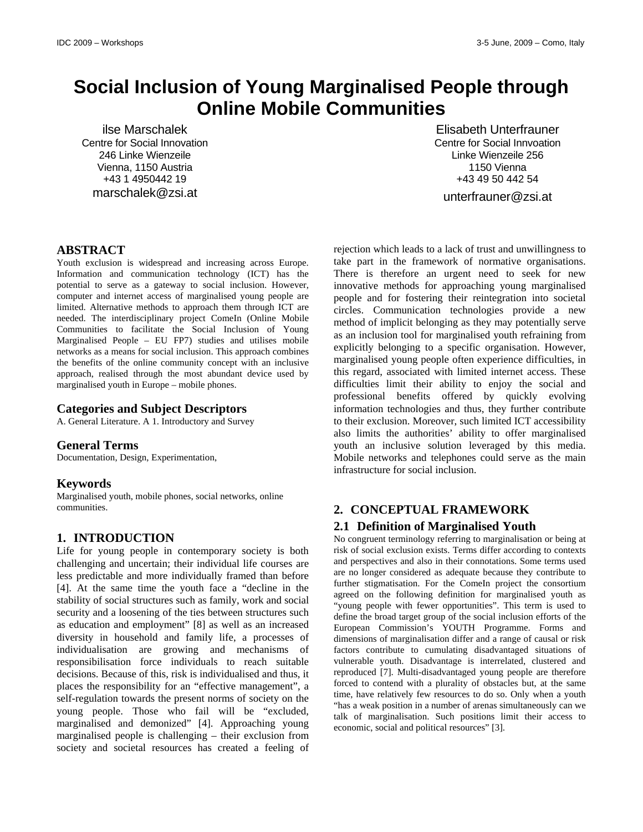# **Social Inclusion of Young Marginalised People through Online Mobile Communities**

ilse Marschalek Centre for Social Innovation 246 Linke Wienzeile Vienna, 1150 Austria +43 1 4950442 19 marschalek@zsi.at

Elisabeth Unterfrauner Centre for Social Innvoation Linke Wienzeile 256 1150 Vienna +43 49 50 442 54 unterfrauner@zsi.at

### **ABSTRACT**

Youth exclusion is widespread and increasing across Europe. Information and communication technology (ICT) has the potential to serve as a gateway to social inclusion. However, computer and internet access of marginalised young people are limited. Alternative methods to approach them through ICT are needed. The interdisciplinary project ComeIn (Online Mobile Communities to facilitate the Social Inclusion of Young Marginalised People – EU FP7) studies and utilises mobile networks as a means for social inclusion. This approach combines the benefits of the online community concept with an inclusive approach, realised through the most abundant device used by marginalised youth in Europe – mobile phones.

### **Categories and Subject Descriptors**

A. General Literature. A 1. Introductory and Survey

### **General Terms**

Documentation, Design, Experimentation,

### **Keywords**

Marginalised youth, mobile phones, social networks, online communities.

### **1. INTRODUCTION**

Life for young people in contemporary society is both challenging and uncertain; their individual life courses are less predictable and more individually framed than before [4]. At the same time the youth face a "decline in the stability of social structures such as family, work and social security and a loosening of the ties between structures such as education and employment" [8] as well as an increased diversity in household and family life, a processes of individualisation are growing and mechanisms of responsibilisation force individuals to reach suitable decisions. Because of this, risk is individualised and thus, it places the responsibility for an "effective management", a self-regulation towards the present norms of society on the young people. Those who fail will be "excluded, marginalised and demonized" [4]. Approaching young marginalised people is challenging – their exclusion from society and societal resources has created a feeling of

rejection which leads to a lack of trust and unwillingness to take part in the framework of normative organisations. There is therefore an urgent need to seek for new innovative methods for approaching young marginalised people and for fostering their reintegration into societal circles. Communication technologies provide a new method of implicit belonging as they may potentially serve as an inclusion tool for marginalised youth refraining from explicitly belonging to a specific organisation. However, marginalised young people often experience difficulties, in this regard, associated with limited internet access. These difficulties limit their ability to enjoy the social and professional benefits offered by quickly evolving information technologies and thus, they further contribute to their exclusion. Moreover, such limited ICT accessibility also limits the authorities' ability to offer marginalised youth an inclusive solution leveraged by this media. Mobile networks and telephones could serve as the main infrastructure for social inclusion.

# **2. CONCEPTUAL FRAMEWORK**

### **2.1 Definition of Marginalised Youth**

No congruent terminology referring to marginalisation or being at risk of social exclusion exists. Terms differ according to contexts and perspectives and also in their connotations. Some terms used are no longer considered as adequate because they contribute to further stigmatisation. For the ComeIn project the consortium agreed on the following definition for marginalised youth as "young people with fewer opportunities". This term is used to define the broad target group of the social inclusion efforts of the European Commission's YOUTH Programme. Forms and dimensions of marginalisation differ and a range of causal or risk factors contribute to cumulating disadvantaged situations of vulnerable youth. Disadvantage is interrelated, clustered and reproduced [7]. Multi-disadvantaged young people are therefore forced to contend with a plurality of obstacles but, at the same time, have relatively few resources to do so. Only when a youth "has a weak position in a number of arenas simultaneously can we talk of marginalisation. Such positions limit their access to economic, social and political resources" [3].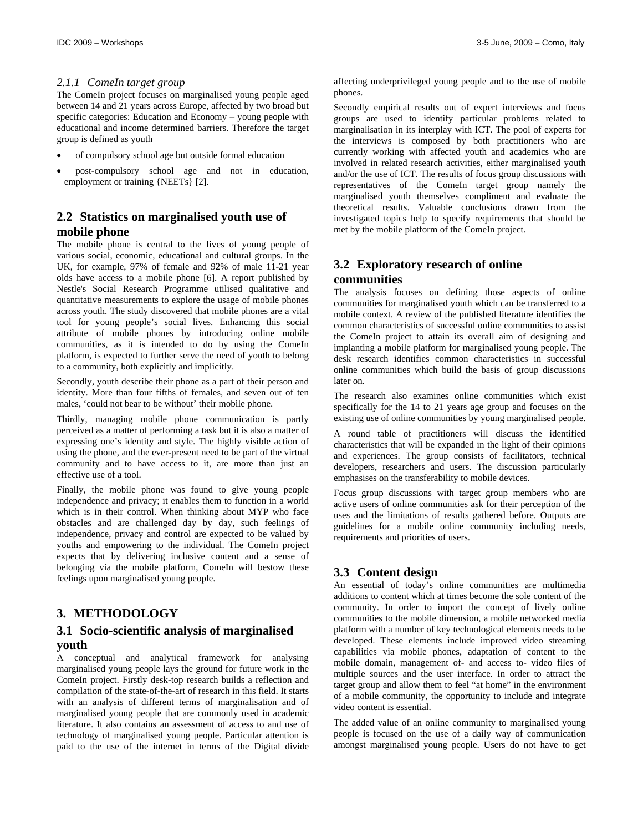### *2.1.1 ComeIn target group*

The ComeIn project focuses on marginalised young people aged between 14 and 21 years across Europe, affected by two broad but specific categories: Education and Economy – young people with educational and income determined barriers. Therefore the target group is defined as youth

- of compulsory school age but outside formal education
- post-compulsory school age and not in education, employment or training {NEETs} [2].

## **2.2 Statistics on marginalised youth use of mobile phone**

The mobile phone is central to the lives of young people of various social, economic, educational and cultural groups. In the UK, for example, 97% of female and 92% of male 11-21 year olds have access to a mobile phone [6]. A report published by Nestle's Social Research Programme utilised qualitative and quantitative measurements to explore the usage of mobile phones across youth. The study discovered that mobile phones are a vital tool for young people's social lives. Enhancing this social attribute of mobile phones by introducing online mobile communities, as it is intended to do by using the ComeIn platform, is expected to further serve the need of youth to belong to a community, both explicitly and implicitly.

Secondly, youth describe their phone as a part of their person and identity. More than four fifths of females, and seven out of ten males, 'could not bear to be without' their mobile phone.

Thirdly, managing mobile phone communication is partly perceived as a matter of performing a task but it is also a matter of expressing one's identity and style. The highly visible action of using the phone, and the ever-present need to be part of the virtual community and to have access to it, are more than just an effective use of a tool.

Finally, the mobile phone was found to give young people independence and privacy; it enables them to function in a world which is in their control. When thinking about MYP who face obstacles and are challenged day by day, such feelings of independence, privacy and control are expected to be valued by youths and empowering to the individual. The ComeIn project expects that by delivering inclusive content and a sense of belonging via the mobile platform, ComeIn will bestow these feelings upon marginalised young people.

# **3. METHODOLOGY**

# **3.1 Socio-scientific analysis of marginalised youth**

A conceptual and analytical framework for analysing marginalised young people lays the ground for future work in the ComeIn project. Firstly desk-top research builds a reflection and compilation of the state-of-the-art of research in this field. It starts with an analysis of different terms of marginalisation and of marginalised young people that are commonly used in academic literature. It also contains an assessment of access to and use of technology of marginalised young people. Particular attention is paid to the use of the internet in terms of the Digital divide

affecting underprivileged young people and to the use of mobile phones.

Secondly empirical results out of expert interviews and focus groups are used to identify particular problems related to marginalisation in its interplay with ICT. The pool of experts for the interviews is composed by both practitioners who are currently working with affected youth and academics who are involved in related research activities, either marginalised youth and/or the use of ICT. The results of focus group discussions with representatives of the ComeIn target group namely the marginalised youth themselves compliment and evaluate the theoretical results. Valuable conclusions drawn from the investigated topics help to specify requirements that should be met by the mobile platform of the ComeIn project.

# **3.2 Exploratory research of online**

#### **communities**

The analysis focuses on defining those aspects of online communities for marginalised youth which can be transferred to a mobile context. A review of the published literature identifies the common characteristics of successful online communities to assist the ComeIn project to attain its overall aim of designing and implanting a mobile platform for marginalised young people. The desk research identifies common characteristics in successful online communities which build the basis of group discussions later on.

The research also examines online communities which exist specifically for the 14 to 21 years age group and focuses on the existing use of online communities by young marginalised people.

A round table of practitioners will discuss the identified characteristics that will be expanded in the light of their opinions and experiences. The group consists of facilitators, technical developers, researchers and users. The discussion particularly emphasises on the transferability to mobile devices.

Focus group discussions with target group members who are active users of online communities ask for their perception of the uses and the limitations of results gathered before. Outputs are guidelines for a mobile online community including needs, requirements and priorities of users.

# **3.3 Content design**

An essential of today's online communities are multimedia additions to content which at times become the sole content of the community. In order to import the concept of lively online communities to the mobile dimension, a mobile networked media platform with a number of key technological elements needs to be developed. These elements include improved video streaming capabilities via mobile phones, adaptation of content to the mobile domain, management of- and access to- video files of multiple sources and the user interface. In order to attract the target group and allow them to feel "at home" in the environment of a mobile community, the opportunity to include and integrate video content is essential.

The added value of an online community to marginalised young people is focused on the use of a daily way of communication amongst marginalised young people. Users do not have to get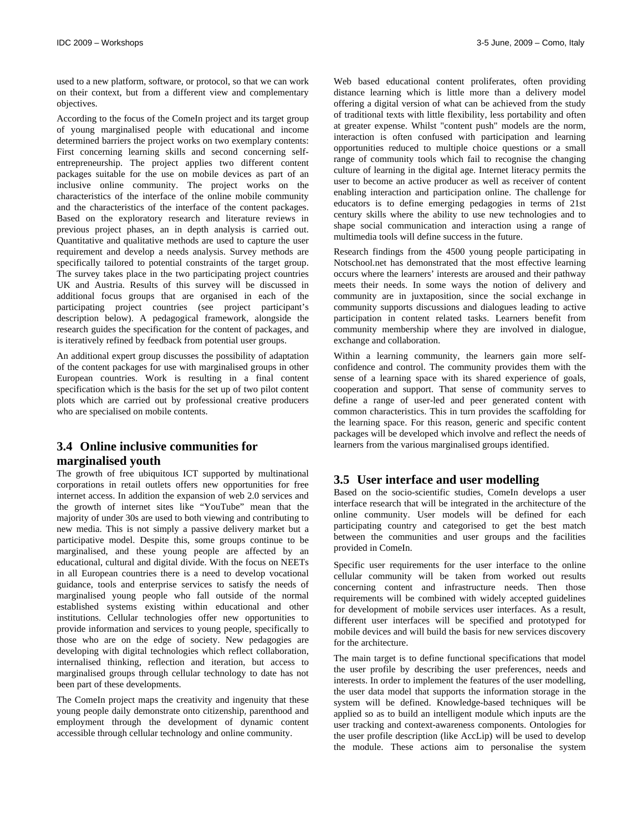used to a new platform, software, or protocol, so that we can work on their context, but from a different view and complementary objectives.

According to the focus of the ComeIn project and its target group of young marginalised people with educational and income determined barriers the project works on two exemplary contents: First concerning learning skills and second concerning selfentrepreneurship. The project applies two different content packages suitable for the use on mobile devices as part of an inclusive online community. The project works on the characteristics of the interface of the online mobile community and the characteristics of the interface of the content packages. Based on the exploratory research and literature reviews in previous project phases, an in depth analysis is carried out. Quantitative and qualitative methods are used to capture the user requirement and develop a needs analysis. Survey methods are specifically tailored to potential constraints of the target group. The survey takes place in the two participating project countries UK and Austria. Results of this survey will be discussed in additional focus groups that are organised in each of the participating project countries (see project participant's description below). A pedagogical framework, alongside the research guides the specification for the content of packages, and is iteratively refined by feedback from potential user groups.

An additional expert group discusses the possibility of adaptation of the content packages for use with marginalised groups in other European countries. Work is resulting in a final content specification which is the basis for the set up of two pilot content plots which are carried out by professional creative producers who are specialised on mobile contents.

### **3.4 Online inclusive communities for**

#### **marginalised youth**

The growth of free ubiquitous ICT supported by multinational corporations in retail outlets offers new opportunities for free internet access. In addition the expansion of web 2.0 services and the growth of internet sites like "YouTube" mean that the majority of under 30s are used to both viewing and contributing to new media. This is not simply a passive delivery market but a participative model. Despite this, some groups continue to be marginalised, and these young people are affected by an educational, cultural and digital divide. With the focus on NEETs in all European countries there is a need to develop vocational guidance, tools and enterprise services to satisfy the needs of marginalised young people who fall outside of the normal established systems existing within educational and other institutions. Cellular technologies offer new opportunities to provide information and services to young people, specifically to those who are on the edge of society. New pedagogies are developing with digital technologies which reflect collaboration, internalised thinking, reflection and iteration, but access to marginalised groups through cellular technology to date has not been part of these developments.

The ComeIn project maps the creativity and ingenuity that these young people daily demonstrate onto citizenship, parenthood and employment through the development of dynamic content accessible through cellular technology and online community.

Web based educational content proliferates, often providing distance learning which is little more than a delivery model offering a digital version of what can be achieved from the study of traditional texts with little flexibility, less portability and often at greater expense. Whilst "content push" models are the norm, interaction is often confused with participation and learning opportunities reduced to multiple choice questions or a small range of community tools which fail to recognise the changing culture of learning in the digital age. Internet literacy permits the user to become an active producer as well as receiver of content enabling interaction and participation online. The challenge for educators is to define emerging pedagogies in terms of 21st century skills where the ability to use new technologies and to shape social communication and interaction using a range of multimedia tools will define success in the future.

Research findings from the 4500 young people participating in Notschool.net has demonstrated that the most effective learning occurs where the learners' interests are aroused and their pathway meets their needs. In some ways the notion of delivery and community are in juxtaposition, since the social exchange in community supports discussions and dialogues leading to active participation in content related tasks. Learners benefit from community membership where they are involved in dialogue, exchange and collaboration.

Within a learning community, the learners gain more selfconfidence and control. The community provides them with the sense of a learning space with its shared experience of goals, cooperation and support. That sense of community serves to define a range of user-led and peer generated content with common characteristics. This in turn provides the scaffolding for the learning space. For this reason, generic and specific content packages will be developed which involve and reflect the needs of learners from the various marginalised groups identified.

### **3.5 User interface and user modelling**

Based on the socio-scientific studies, ComeIn develops a user interface research that will be integrated in the architecture of the online community. User models will be defined for each participating country and categorised to get the best match between the communities and user groups and the facilities provided in ComeIn.

Specific user requirements for the user interface to the online cellular community will be taken from worked out results concerning content and infrastructure needs. Then those requirements will be combined with widely accepted guidelines for development of mobile services user interfaces. As a result, different user interfaces will be specified and prototyped for mobile devices and will build the basis for new services discovery for the architecture.

The main target is to define functional specifications that model the user profile by describing the user preferences, needs and interests. In order to implement the features of the user modelling, the user data model that supports the information storage in the system will be defined. Knowledge-based techniques will be applied so as to build an intelligent module which inputs are the user tracking and context-awareness components. Ontologies for the user profile description (like AccLip) will be used to develop the module. These actions aim to personalise the system